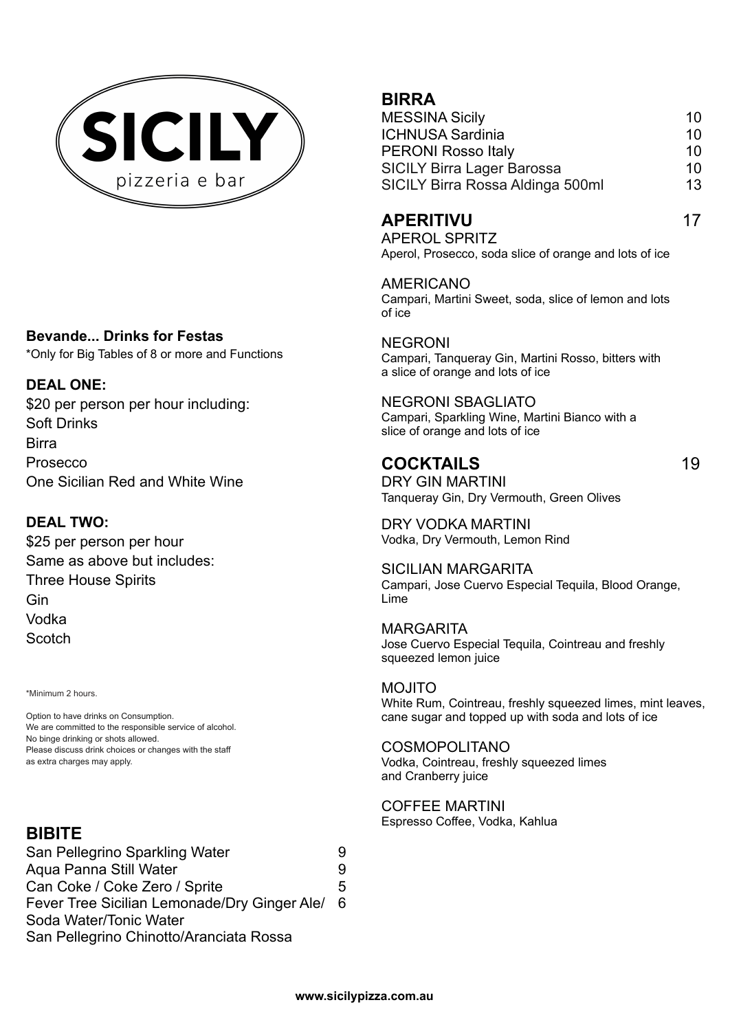

#### **Bevande... Drinks for Festas**

\*Only for Big Tables of 8 or more and Functions

### **DEAL ONE:**

\$20 per person per hour including: Soft Drinks Birra Prosecco One Sicilian Red and White Wine

### **DEAL TWO:**

\$25 per person per hour Same as above but includes: Three House Spirits Gin Vodka **Scotch** 

\*Minimum 2 hours.

Option to have drinks on Consumption. We are committed to the responsible service of alcohol. No binge drinking or shots allowed. Please discuss drink choices or changes with the staff as extra charges may apply.

# **BIBITE**

San Pellegrino Sparkling Water 9 Aqua Panna Still Water 9 Can Coke / Coke Zero / Sprite 5 Fever Tree Sicilian Lemonade/Dry Ginger Ale/ 6 Soda Water/Tonic Water San Pellegrino Chinotto/Aranciata Rossa

# **BIRRA**

| <b>MESSINA Sicily</b>             | 10 |
|-----------------------------------|----|
| <b>ICHNUSA Sardinia</b>           | 10 |
| <b>PERONI Rosso Italy</b>         | 10 |
| <b>SICILY Birra Lager Barossa</b> | 10 |
| SICILY Birra Rossa Aldinga 500ml  | 13 |

### **APERITIVU** 17

APEROL SPRITZ Aperol, Prosecco, soda slice of orange and lots of ice

AMERICANO Campari, Martini Sweet, soda, slice of lemon and lots of ice

NEGRONI Campari, Tanqueray Gin, Martini Rosso, bitters with a slice of orange and lots of ice

NEGRONI SBAGLIATO Campari, Sparkling Wine, Martini Bianco with a slice of orange and lots of ice

## **COCKTAILS** 19

DRY GIN MARTINI Tanqueray Gin, Dry Vermouth, Green Olives

DRY VODKA MARTINI Vodka, Dry Vermouth, Lemon Rind

SICILIAN MARGARITA Campari, Jose Cuervo Especial Tequila, Blood Orange, Lime

MARGARITA Jose Cuervo Especial Tequila, Cointreau and freshly squeezed lemon juice

MOJITO White Rum, Cointreau, freshly squeezed limes, mint leaves, cane sugar and topped up with soda and lots of ice

COSMOPOLITANO Vodka, Cointreau, freshly squeezed limes and Cranberry juice

COFFEE MARTINI Espresso Coffee, Vodka, Kahlua